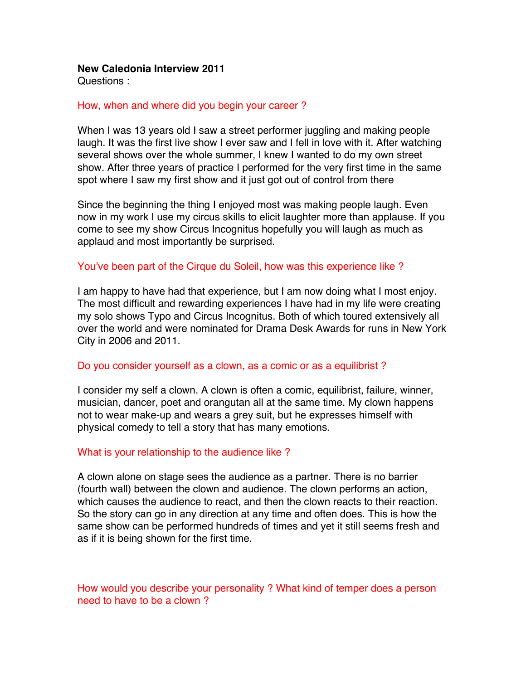### **New Caledonia Interview 2011**

Questions :

# How, when and where did you begin your career ?

When I was 13 years old I saw a street performer juggling and making people laugh. It was the first live show I ever saw and I fell in love with it. After watching several shows over the whole summer, I knew I wanted to do my own street show. After three years of practice I performed for the very first time in the same spot where I saw my first show and it just got out of control from there

Since the beginning the thing I enjoyed most was making people laugh. Even now in my work I use my circus skills to elicit laughter more than applause. If you come to see my show Circus Incognitus hopefully you will laugh as much as applaud and most importantly be surprised.

### You've been part of the Cirque du Soleil, how was this experience like ?

I am happy to have had that experience, but I am now doing what I most enjoy. The most difficult and rewarding experiences I have had in my life were creating my solo shows Typo and Circus Incognitus. Both of which toured extensively all over the world and were nominated for Drama Desk Awards for runs in New York City in 2006 and 2011.

### Do you consider yourself as a clown, as a comic or as a equilibrist ?

I consider my self a clown. A clown is often a comic, equilibrist, failure, winner, musician, dancer, poet and orangutan all at the same time. My clown happens not to wear make-up and wears a grey suit, but he expresses himself with physical comedy to tell a story that has many emotions.

### What is your relationship to the audience like ?

A clown alone on stage sees the audience as a partner. There is no barrier (fourth wall) between the clown and audience. The clown performs an action, which causes the audience to react, and then the clown reacts to their reaction. So the story can go in any direction at any time and often does. This is how the same show can be performed hundreds of times and yet it still seems fresh and as if it is being shown for the first time.

How would you describe your personality ? What kind of temper does a person need to have to be a clown ?